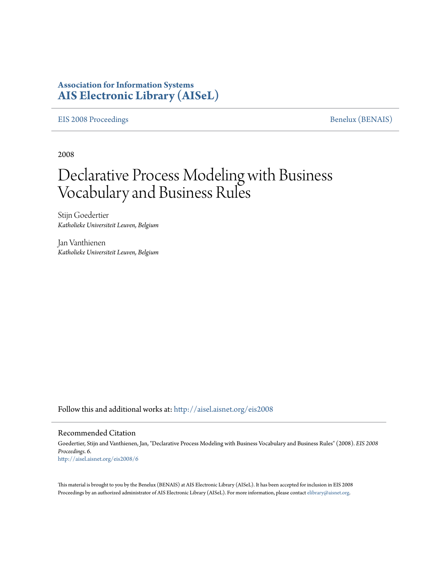## **Association for Information Systems [AIS Electronic Library \(AISeL\)](http://aisel.aisnet.org?utm_source=aisel.aisnet.org%2Feis2008%2F6&utm_medium=PDF&utm_campaign=PDFCoverPages)**

### [EIS 2008 Proceedings](http://aisel.aisnet.org/eis2008?utm_source=aisel.aisnet.org%2Feis2008%2F6&utm_medium=PDF&utm_campaign=PDFCoverPages) [Benelux \(BENAIS\)](http://aisel.aisnet.org/benais?utm_source=aisel.aisnet.org%2Feis2008%2F6&utm_medium=PDF&utm_campaign=PDFCoverPages)

2008

# Declarative Process Modeling with Business Vocabulary and Business Rules

Stijn Goedertier *Katholieke Universiteit Leuven, Belgium*

Jan Vanthienen *Katholieke Universiteit Leuven, Belgium*

Follow this and additional works at: [http://aisel.aisnet.org/eis2008](http://aisel.aisnet.org/eis2008?utm_source=aisel.aisnet.org%2Feis2008%2F6&utm_medium=PDF&utm_campaign=PDFCoverPages)

### Recommended Citation

Goedertier, Stijn and Vanthienen, Jan, "Declarative Process Modeling with Business Vocabulary and Business Rules" (2008). *EIS 2008 Proceedings*. 6. [http://aisel.aisnet.org/eis2008/6](http://aisel.aisnet.org/eis2008/6?utm_source=aisel.aisnet.org%2Feis2008%2F6&utm_medium=PDF&utm_campaign=PDFCoverPages)

This material is brought to you by the Benelux (BENAIS) at AIS Electronic Library (AISeL). It has been accepted for inclusion in EIS 2008 Proceedings by an authorized administrator of AIS Electronic Library (AISeL). For more information, please contact [elibrary@aisnet.org](mailto:elibrary@aisnet.org%3E).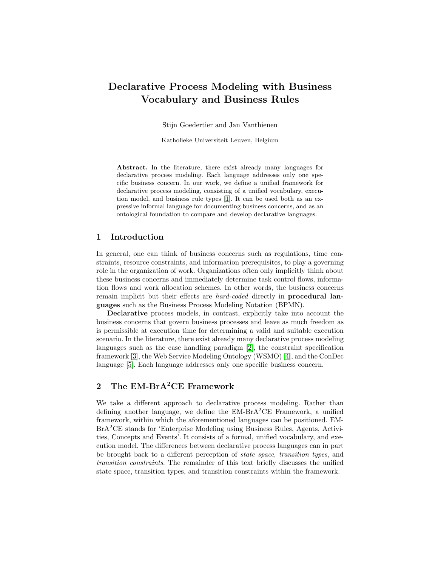# Declarative Process Modeling with Business Vocabulary and Business Rules

Stijn Goedertier and Jan Vanthienen

Katholieke Universiteit Leuven, Belgium

Abstract. In the literature, there exist already many languages for declarative process modeling. Each language addresses only one specific business concern. In our work, we define a unified framework for declarative process modeling, consisting of a unified vocabulary, execution model, and business rule types [\[1\]](#page-2-0). It can be used both as an expressive informal language for documenting business concerns, and as an ontological foundation to compare and develop declarative languages.

#### 1 Introduction

In general, one can think of business concerns such as regulations, time constraints, resource constraints, and information prerequisites, to play a governing role in the organization of work. Organizations often only implicitly think about these business concerns and immediately determine task control flows, information flows and work allocation schemes. In other words, the business concerns remain implicit but their effects are *hard-coded* directly in **procedural lan**guages such as the Business Process Modeling Notation (BPMN).

Declarative process models, in contrast, explicitly take into account the business concerns that govern business processes and leave as much freedom as is permissible at execution time for determining a valid and suitable execution scenario. In the literature, there exist already many declarative process modeling languages such as the case handling paradigm [\[2\]](#page-2-1), the constraint specification framework [\[3\]](#page-2-2), the Web Service Modeling Ontology (WSMO) [\[4\]](#page-2-3), and the ConDec language [\[5\]](#page-2-4). Each language addresses only one specific business concern.

### 2 The EM-BrA<sup>2</sup>CE Framework

We take a different approach to declarative process modeling. Rather than defining another language, we define the  $EM-BrA^2CE$  Framework, a unified framework, within which the aforementioned languages can be positioned. EM-BrA<sup>2</sup>CE stands for 'Enterprise Modeling using Business Rules, Agents, Activities, Concepts and Events'. It consists of a formal, unified vocabulary, and execution model. The differences between declarative process languages can in part be brought back to a different perception of state space, transition types, and transition constraints. The remainder of this text briefly discusses the unified state space, transition types, and transition constraints within the framework.